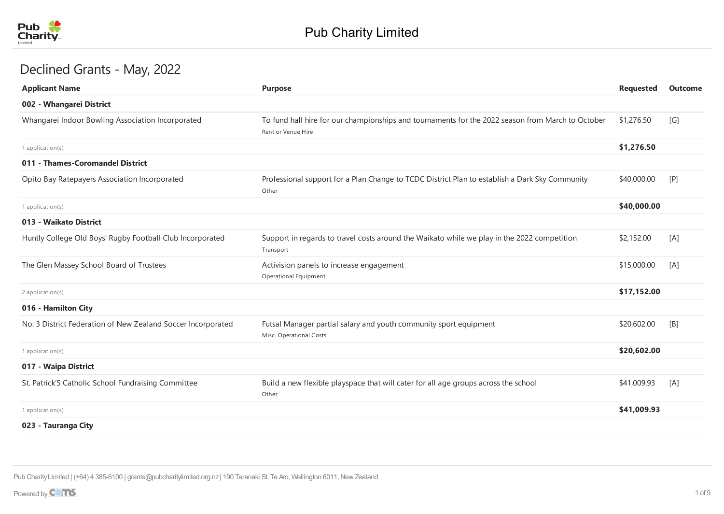

## Declined Grants - May, 2022

| <b>Purpose</b>                                                                                                          | <b>Requested</b> | Outcome |
|-------------------------------------------------------------------------------------------------------------------------|------------------|---------|
|                                                                                                                         |                  |         |
| To fund hall hire for our championships and tournaments for the 2022 season from March to October<br>Rent or Venue Hire | \$1,276.50       | [G]     |
|                                                                                                                         | \$1,276.50       |         |
|                                                                                                                         |                  |         |
| Professional support for a Plan Change to TCDC District Plan to establish a Dark Sky Community<br>Other                 | \$40,000.00      | [P]     |
|                                                                                                                         | \$40,000.00      |         |
|                                                                                                                         |                  |         |
| Support in regards to travel costs around the Waikato while we play in the 2022 competition<br>Transport                | \$2,152.00       | [A]     |
| Activision panels to increase engagement<br>Operational Equipment                                                       | \$15,000.00      | [A]     |
|                                                                                                                         | \$17,152.00      |         |
|                                                                                                                         |                  |         |
| Futsal Manager partial salary and youth community sport equipment<br>Misc. Operational Costs                            | \$20,602.00      | [B]     |
|                                                                                                                         | \$20,602.00      |         |
|                                                                                                                         |                  |         |
| Build a new flexible playspace that will cater for all age groups across the school<br>Other                            | \$41,009.93      | [A]     |
|                                                                                                                         | \$41,009.93      |         |
|                                                                                                                         |                  |         |
|                                                                                                                         |                  |         |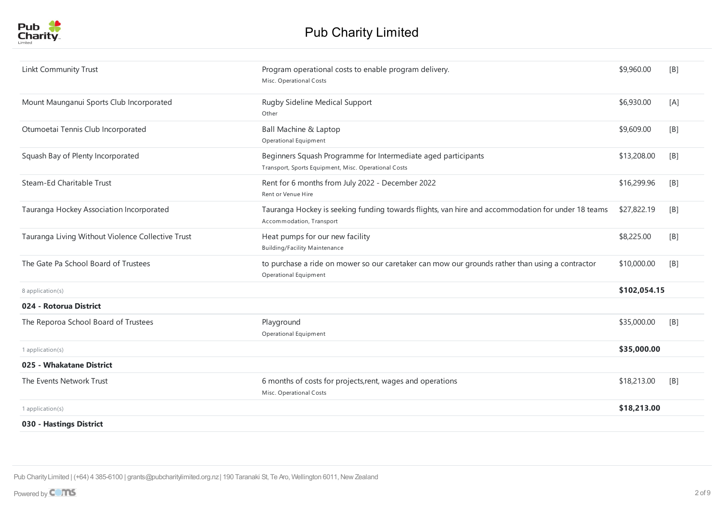| Linkt Community Trust                             | Program operational costs to enable program delivery.<br>Misc. Operational Costs                                              | \$9,960.00   | [B] |
|---------------------------------------------------|-------------------------------------------------------------------------------------------------------------------------------|--------------|-----|
| Mount Maunganui Sports Club Incorporated          | Rugby Sideline Medical Support<br>Other                                                                                       | \$6,930.00   | [A] |
| Otumoetai Tennis Club Incorporated                | <b>Ball Machine &amp; Laptop</b><br>Operational Equipment                                                                     | \$9,609.00   | [B] |
| Squash Bay of Plenty Incorporated                 | Beginners Squash Programme for Intermediate aged participants<br>Transport, Sports Equipment, Misc. Operational Costs         | \$13,208.00  | [B] |
| Steam-Ed Charitable Trust                         | Rent for 6 months from July 2022 - December 2022<br>Rent or Venue Hire                                                        | \$16,299.96  | [B] |
| Tauranga Hockey Association Incorporated          | Tauranga Hockey is seeking funding towards flights, van hire and accommodation for under 18 teams<br>Accommodation, Transport | \$27,822.19  | [B] |
| Tauranga Living Without Violence Collective Trust | Heat pumps for our new facility<br><b>Building/Facility Maintenance</b>                                                       | \$8,225.00   | [B] |
| The Gate Pa School Board of Trustees              | to purchase a ride on mower so our caretaker can mow our grounds rather than using a contractor<br>Operational Equipment      | \$10,000.00  | [B] |
| 8 application(s)                                  |                                                                                                                               | \$102,054.15 |     |
| 024 - Rotorua District                            |                                                                                                                               |              |     |
| The Reporoa School Board of Trustees              | Playground<br>Operational Equipment                                                                                           | \$35,000.00  | [B] |
| 1 application(s)                                  |                                                                                                                               | \$35,000.00  |     |
| 025 - Whakatane District                          |                                                                                                                               |              |     |
| The Events Network Trust                          | 6 months of costs for projects, rent, wages and operations<br>Misc. Operational Costs                                         | \$18,213.00  | [B] |
| $1$ application(s)                                |                                                                                                                               | \$18,213.00  |     |
| 030 - Hastings District                           |                                                                                                                               |              |     |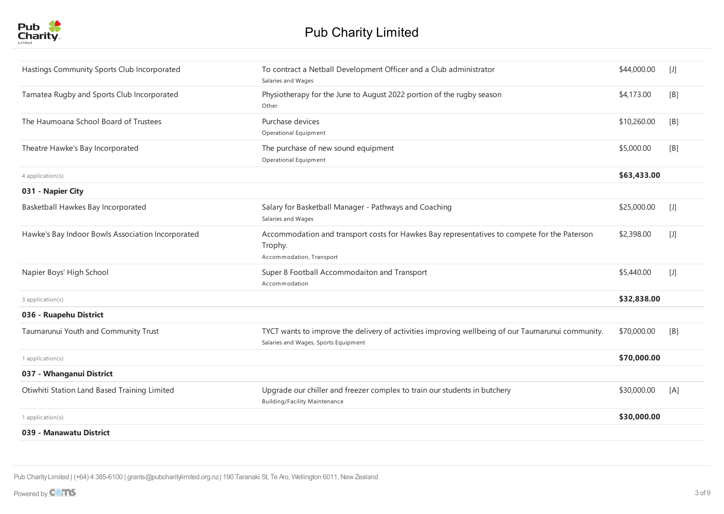

| Hastings Community Sports Club Incorporated       | To contract a Netball Development Officer and a Club administrator<br>Salaries and Wages                                                  | \$44,000.00 | $[1]$ |
|---------------------------------------------------|-------------------------------------------------------------------------------------------------------------------------------------------|-------------|-------|
| Tamatea Rugby and Sports Club Incorporated        | Physiotherapy for the June to August 2022 portion of the rugby season<br>Other                                                            | \$4,173.00  | [B]   |
| The Haumoana School Board of Trustees             | Purchase devices<br>Operational Equipment                                                                                                 | \$10,260.00 | [B]   |
| Theatre Hawke's Bay Incorporated                  | The purchase of new sound equipment<br>Operational Equipment                                                                              | \$5,000.00  | [B]   |
| 4 application(s)                                  |                                                                                                                                           | \$63,433.00 |       |
| 031 - Napier City                                 |                                                                                                                                           |             |       |
| Basketball Hawkes Bay Incorporated                | Salary for Basketball Manager - Pathways and Coaching<br>Salaries and Wages                                                               | \$25,000.00 | $[1]$ |
| Hawke's Bay Indoor Bowls Association Incorporated | Accommodation and transport costs for Hawkes Bay representatives to compete for the Paterson<br>Trophy.<br>Accommodation, Transport       | \$2,398.00  | $[1]$ |
| Napier Boys' High School                          | Super 8 Football Accommodaiton and Transport<br>Accommodation                                                                             | \$5,440.00  | $[1]$ |
| 3 application(s)                                  |                                                                                                                                           | \$32,838.00 |       |
| 036 - Ruapehu District                            |                                                                                                                                           |             |       |
| Taumarunui Youth and Community Trust              | TYCT wants to improve the delivery of activities improving wellbeing of our Taumarunui community.<br>Salaries and Wages, Sports Equipment | \$70,000.00 | [B]   |
| 1 application $(s)$                               |                                                                                                                                           | \$70,000.00 |       |
| 037 - Whanganui District                          |                                                                                                                                           |             |       |
| Otiwhiti Station Land Based Training Limited      | Upgrade our chiller and freezer complex to train our students in butchery<br><b>Building/Facility Maintenance</b>                         | \$30,000.00 | [A]   |
| 1 application $(s)$                               |                                                                                                                                           | \$30,000.00 |       |
| 039 - Manawatu District                           |                                                                                                                                           |             |       |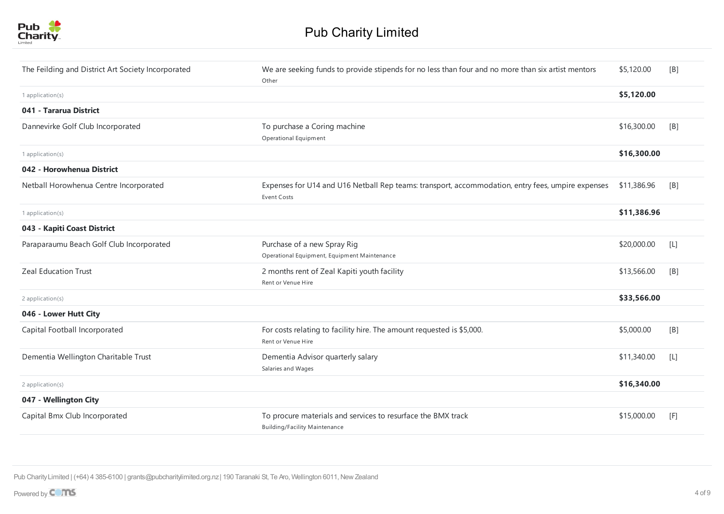

| The Feilding and District Art Society Incorporated | We are seeking funds to provide stipends for no less than four and no more than six artist mentors<br>Other      | \$5,120.00  | [B]   |
|----------------------------------------------------|------------------------------------------------------------------------------------------------------------------|-------------|-------|
| 1 application(s)                                   |                                                                                                                  | \$5,120.00  |       |
| 041 - Tararua District                             |                                                                                                                  |             |       |
| Dannevirke Golf Club Incorporated                  | To purchase a Coring machine<br>Operational Equipment                                                            | \$16,300.00 | [B]   |
| 1 application(s)                                   |                                                                                                                  | \$16,300.00 |       |
| 042 - Horowhenua District                          |                                                                                                                  |             |       |
| Netball Horowhenua Centre Incorporated             | Expenses for U14 and U16 Netball Rep teams: transport, accommodation, entry fees, umpire expenses<br>Event Costs | \$11,386.96 | [B]   |
| 1 application(s)                                   |                                                                                                                  | \$11,386.96 |       |
| 043 - Kapiti Coast District                        |                                                                                                                  |             |       |
| Paraparaumu Beach Golf Club Incorporated           | Purchase of a new Spray Rig<br>Operational Equipment, Equipment Maintenance                                      | \$20,000.00 | $[1]$ |
| <b>Zeal Education Trust</b>                        | 2 months rent of Zeal Kapiti youth facility<br>Rent or Venue Hire                                                | \$13,566.00 | [B]   |
| 2 application(s)                                   |                                                                                                                  | \$33,566.00 |       |
| 046 - Lower Hutt City                              |                                                                                                                  |             |       |
| Capital Football Incorporated                      | For costs relating to facility hire. The amount requested is \$5,000.<br>Rent or Venue Hire                      | \$5,000.00  | [B]   |
| Dementia Wellington Charitable Trust               | Dementia Advisor quarterly salary<br>Salaries and Wages                                                          | \$11,340.00 | $[L]$ |
| 2 application(s)                                   |                                                                                                                  | \$16,340.00 |       |
| 047 - Wellington City                              |                                                                                                                  |             |       |
| Capital Bmx Club Incorporated                      | To procure materials and services to resurface the BMX track<br><b>Building/Facility Maintenance</b>             | \$15,000.00 | [F]   |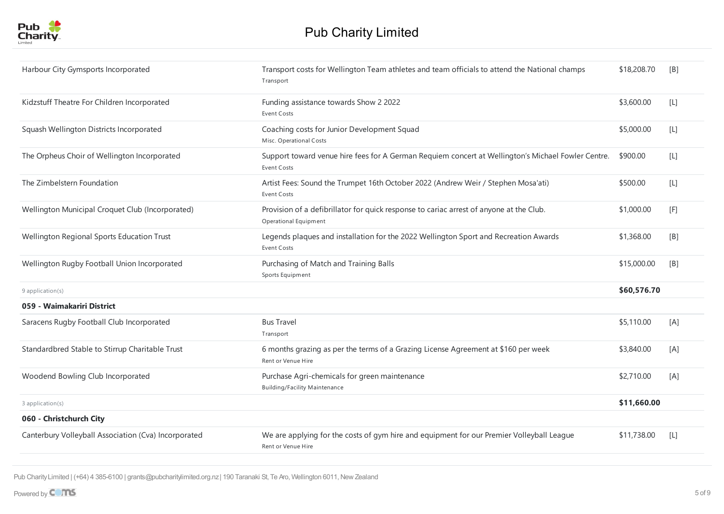

| Harbour City Gymsports Incorporated                  | Transport costs for Wellington Team athletes and team officials to attend the National champs<br>Transport               | \$18,208.70 | [B]              |
|------------------------------------------------------|--------------------------------------------------------------------------------------------------------------------------|-------------|------------------|
| Kidzstuff Theatre For Children Incorporated          | Funding assistance towards Show 2 2022<br><b>Event Costs</b>                                                             | \$3,600.00  | $[1]$            |
| Squash Wellington Districts Incorporated             | Coaching costs for Junior Development Squad<br>Misc. Operational Costs                                                   | \$5,000.00  | $[{\mathsf L}]$  |
| The Orpheus Choir of Wellington Incorporated         | Support toward venue hire fees for A German Requiem concert at Wellington's Michael Fowler Centre.<br><b>Event Costs</b> | \$900.00    | $[ \mathsf{L} ]$ |
| The Zimbelstern Foundation                           | Artist Fees: Sound the Trumpet 16th October 2022 (Andrew Weir / Stephen Mosa'ati)<br>Event Costs                         | \$500.00    | $[ \mathsf{L} ]$ |
| Wellington Municipal Croquet Club (Incorporated)     | Provision of a defibrillator for quick response to cariac arrest of anyone at the Club.<br>Operational Equipment         | \$1,000.00  | [F]              |
| Wellington Regional Sports Education Trust           | Legends plaques and installation for the 2022 Wellington Sport and Recreation Awards<br><b>Event Costs</b>               | \$1,368.00  | [B]              |
| Wellington Rugby Football Union Incorporated         | Purchasing of Match and Training Balls<br>Sports Equipment                                                               | \$15,000.00 | [B]              |
| 9 application(s)                                     |                                                                                                                          | \$60,576.70 |                  |
| 059 - Waimakariri District                           |                                                                                                                          |             |                  |
| Saracens Rugby Football Club Incorporated            | <b>Bus Travel</b><br>Transport                                                                                           | \$5,110.00  | [A]              |
| Standardbred Stable to Stirrup Charitable Trust      | 6 months grazing as per the terms of a Grazing License Agreement at \$160 per week<br>Rent or Venue Hire                 | \$3,840.00  | [A]              |
| Woodend Bowling Club Incorporated                    | Purchase Agri-chemicals for green maintenance<br><b>Building/Facility Maintenance</b>                                    | \$2,710.00  | [A]              |
| 3 application(s)                                     |                                                                                                                          | \$11,660.00 |                  |
| 060 - Christchurch City                              |                                                                                                                          |             |                  |
| Canterbury Volleyball Association (Cva) Incorporated | We are applying for the costs of gym hire and equipment for our Premier Volleyball League<br>Rent or Venue Hire          | \$11,738.00 | [L]              |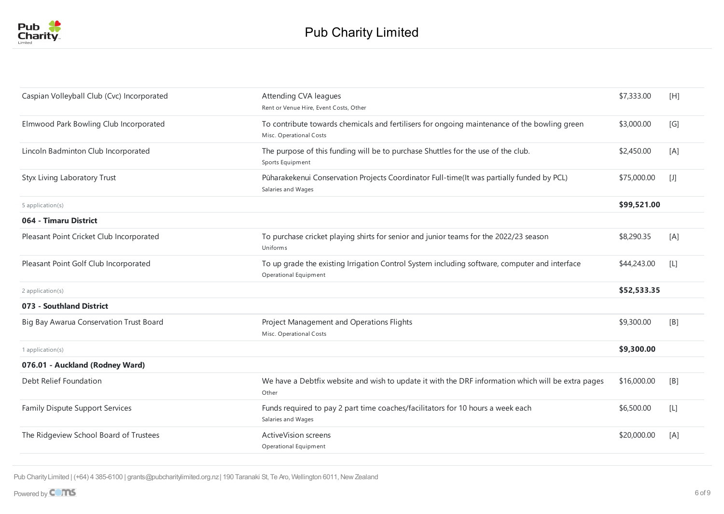

| Caspian Volleyball Club (Cvc) Incorporated | Attending CVA leagues<br>Rent or Venue Hire, Event Costs, Other                                                         | \$7,333.00  | [H]   |
|--------------------------------------------|-------------------------------------------------------------------------------------------------------------------------|-------------|-------|
| Elmwood Park Bowling Club Incorporated     | To contribute towards chemicals and fertilisers for ongoing maintenance of the bowling green<br>Misc. Operational Costs | \$3,000.00  | [G]   |
| Lincoln Badminton Club Incorporated        | The purpose of this funding will be to purchase Shuttles for the use of the club.<br>Sports Equipment                   | \$2,450.00  | [A]   |
| Styx Living Laboratory Trust               | Pūharakekenui Conservation Projects Coordinator Full-time(It was partially funded by PCL)<br>Salaries and Wages         | \$75,000.00 | $[1]$ |
| 5 application(s)                           |                                                                                                                         | \$99,521.00 |       |
| 064 - Timaru District                      |                                                                                                                         |             |       |
| Pleasant Point Cricket Club Incorporated   | To purchase cricket playing shirts for senior and junior teams for the 2022/23 season<br>Uniforms                       | \$8,290.35  | [A]   |
| Pleasant Point Golf Club Incorporated      | To up grade the existing Irrigation Control System including software, computer and interface<br>Operational Equipment  | \$44,243.00 | $[L]$ |
| 2 application(s)                           |                                                                                                                         | \$52,533.35 |       |
| 073 - Southland District                   |                                                                                                                         |             |       |
| Big Bay Awarua Conservation Trust Board    | Project Management and Operations Flights<br>Misc. Operational Costs                                                    | \$9,300.00  | [B]   |
| 1 application(s)                           |                                                                                                                         | \$9,300.00  |       |
| 076.01 - Auckland (Rodney Ward)            |                                                                                                                         |             |       |
| Debt Relief Foundation                     | We have a Debtfix website and wish to update it with the DRF information which will be extra pages<br>Other             | \$16,000.00 | [B]   |
| <b>Family Dispute Support Services</b>     | Funds required to pay 2 part time coaches/facilitators for 10 hours a week each<br>Salaries and Wages                   | \$6,500.00  | $[L]$ |
| The Ridgeview School Board of Trustees     | <b>ActiveVision screens</b><br>Operational Equipment                                                                    | \$20,000.00 | [A]   |
|                                            |                                                                                                                         |             |       |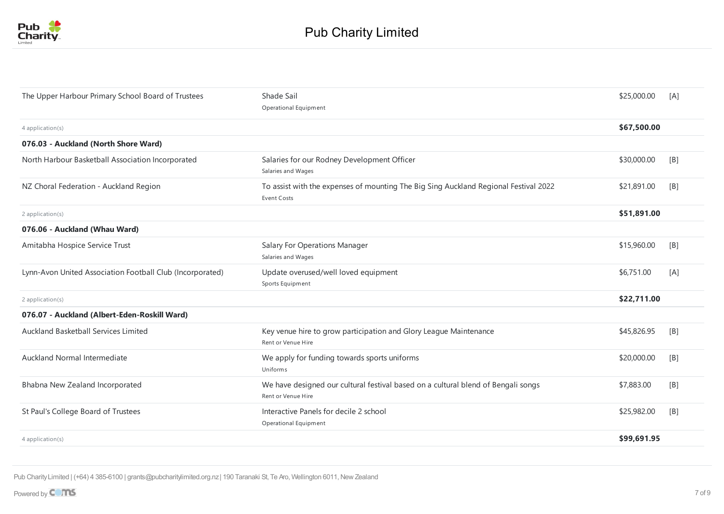

| The Upper Harbour Primary School Board of Trustees        | Shade Sail<br>Operational Equipment                                                                        | \$25,000.00 | [A] |
|-----------------------------------------------------------|------------------------------------------------------------------------------------------------------------|-------------|-----|
| 4 application(s)                                          |                                                                                                            | \$67,500.00 |     |
| 076.03 - Auckland (North Shore Ward)                      |                                                                                                            |             |     |
| North Harbour Basketball Association Incorporated         | Salaries for our Rodney Development Officer<br>Salaries and Wages                                          | \$30,000.00 | [B] |
| NZ Choral Federation - Auckland Region                    | To assist with the expenses of mounting The Big Sing Auckland Regional Festival 2022<br><b>Event Costs</b> | \$21,891.00 | [B] |
| 2 application(s)                                          |                                                                                                            | \$51,891.00 |     |
| 076.06 - Auckland (Whau Ward)                             |                                                                                                            |             |     |
| Amitabha Hospice Service Trust                            | <b>Salary For Operations Manager</b><br>Salaries and Wages                                                 | \$15,960.00 | [B] |
| Lynn-Avon United Association Football Club (Incorporated) | Update overused/well loved equipment<br>Sports Equipment                                                   | \$6,751.00  | [A] |
| 2 application(s)                                          |                                                                                                            | \$22,711.00 |     |
| 076.07 - Auckland (Albert-Eden-Roskill Ward)              |                                                                                                            |             |     |
| Auckland Basketball Services Limited                      | Key venue hire to grow participation and Glory League Maintenance<br>Rent or Venue Hire                    | \$45,826.95 | [B] |
| Auckland Normal Intermediate                              | We apply for funding towards sports uniforms<br>Uniforms                                                   | \$20,000.00 | [B] |
| Bhabna New Zealand Incorporated                           | We have designed our cultural festival based on a cultural blend of Bengali songs<br>Rent or Venue Hire    | \$7,883.00  | [B] |
| St Paul's College Board of Trustees                       | Interactive Panels for decile 2 school<br>Operational Equipment                                            | \$25,982.00 | [B] |
| 4 application(s)                                          |                                                                                                            | \$99,691.95 |     |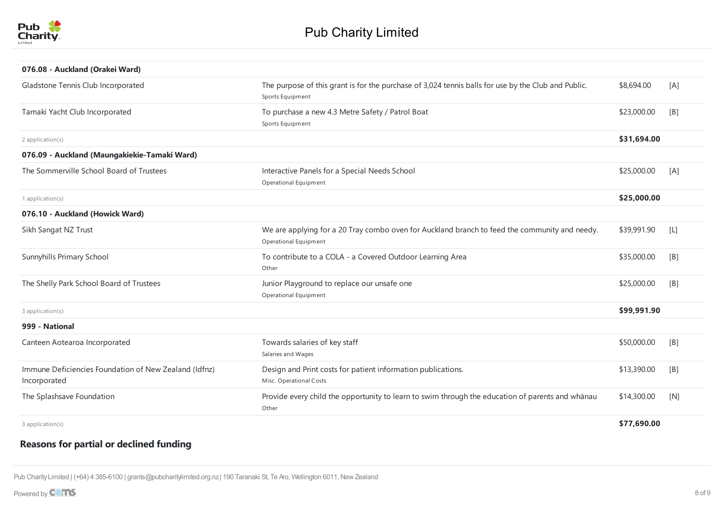

| 076.08 - Auckland (Orakei Ward)                                       |                                                                                                                               |             |                  |
|-----------------------------------------------------------------------|-------------------------------------------------------------------------------------------------------------------------------|-------------|------------------|
| Gladstone Tennis Club Incorporated                                    | The purpose of this grant is for the purchase of 3,024 tennis balls for use by the Club and Public.<br>Sports Equipment       | \$8,694.00  | [A]              |
| Tamaki Yacht Club Incorporated                                        | To purchase a new 4.3 Metre Safety / Patrol Boat<br>Sports Equipment                                                          | \$23,000.00 | [B]              |
| 2 application(s)                                                      |                                                                                                                               | \$31,694.00 |                  |
| 076.09 - Auckland (Maungakiekie-Tamaki Ward)                          |                                                                                                                               |             |                  |
| The Sommerville School Board of Trustees                              | Interactive Panels for a Special Needs School<br>Operational Equipment                                                        | \$25,000.00 | [A]              |
| 1 application(s)                                                      |                                                                                                                               | \$25,000.00 |                  |
| 076.10 - Auckland (Howick Ward)                                       |                                                                                                                               |             |                  |
| Sikh Sangat NZ Trust                                                  | We are applying for a 20 Tray combo oven for Auckland branch to feed the community and needy.<br><b>Operational Equipment</b> | \$39,991.90 | $[ \mathsf{L} ]$ |
| Sunnyhills Primary School                                             | To contribute to a COLA - a Covered Outdoor Learning Area<br>Other                                                            | \$35,000.00 | [B]              |
| The Shelly Park School Board of Trustees                              | Junior Playground to replace our unsafe one<br>Operational Equipment                                                          | \$25,000.00 | [B]              |
| 3 application(s)                                                      |                                                                                                                               | \$99,991.90 |                  |
| 999 - National                                                        |                                                                                                                               |             |                  |
| Canteen Aotearoa Incorporated                                         | Towards salaries of key staff<br>Salaries and Wages                                                                           | \$50,000.00 | [B]              |
| Immune Deficiencies Foundation of New Zealand (Idfnz)<br>Incorporated | Design and Print costs for patient information publications.<br>Misc. Operational Costs                                       | \$13,390.00 | [B]              |
| The Splashsave Foundation                                             | Provide every child the opportunity to learn to swim through the education of parents and whānau<br>Other                     | \$14,300.00 | [N]              |
| 3 application(s)                                                      |                                                                                                                               | \$77,690.00 |                  |

## **Reasons for partial or declined funding**